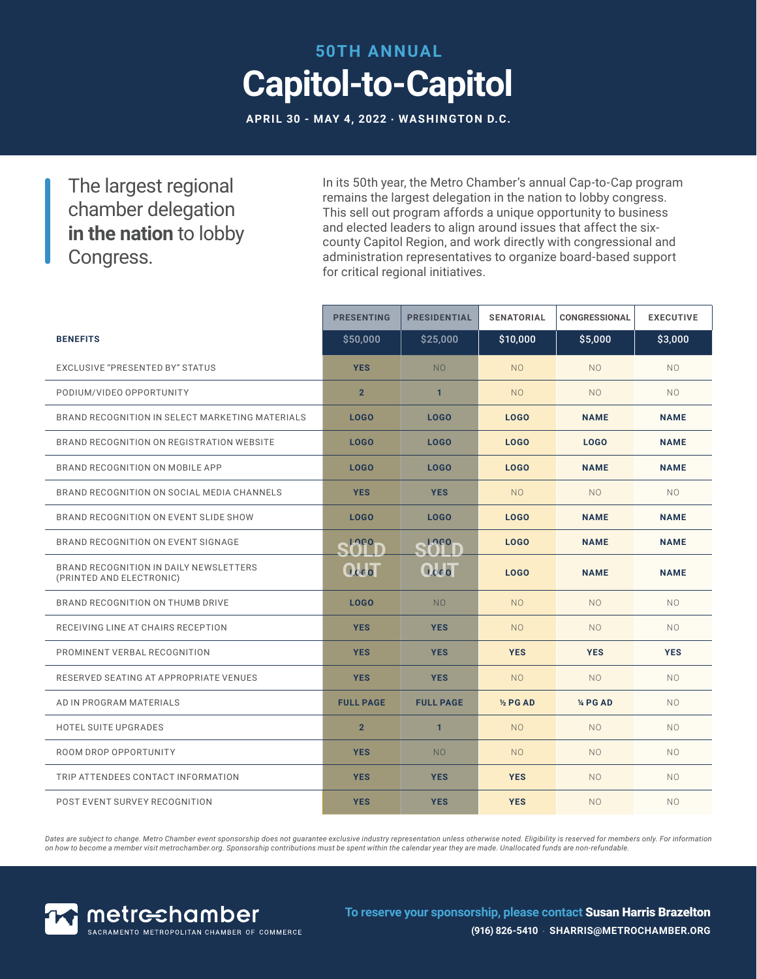# **50TH ANNUAL Capitol-to-Capitol**

**APRIL 30 - MAY 4, 2022 · WASHINGTON D.C.**

The largest regional chamber delegation **in the nation** to lobby Congress.

In its 50th year, the Metro Chamber's annual Cap-to-Cap program remains the largest delegation in the nation to lobby congress. This sell out program affords a unique opportunity to business and elected leaders to align around issues that affect the sixcounty Capitol Region, and work directly with congressional and administration representatives to organize board-based support for critical regional initiatives.

|                                                                    | <b>PRESENTING</b> | <b>PRESIDENTIAL</b> | <b>SENATORIAL</b> | <b>CONGRESSIONAL</b> | <b>EXECUTIVE</b> |
|--------------------------------------------------------------------|-------------------|---------------------|-------------------|----------------------|------------------|
| <b>BENEFITS</b>                                                    | \$50,000          | \$25,000            | \$10,000          | \$5,000              | \$3,000          |
| EXCLUSIVE "PRESENTED BY" STATUS                                    | <b>YES</b>        | <b>NO</b>           | N <sub>O</sub>    | N <sub>O</sub>       | NO.              |
| PODIUM/VIDEO OPPORTUNITY                                           | 2 <sup>2</sup>    | $\mathbf{1}$        | N <sub>O</sub>    | N <sub>O</sub>       | NO.              |
| BRAND RECOGNITION IN SELECT MARKETING MATERIALS                    | LOGO              | LOGO                | LOGO              | <b>NAME</b>          | <b>NAME</b>      |
| BRAND RECOGNITION ON REGISTRATION WEBSITE                          | LOGO              | LOGO                | <b>LOGO</b>       | LOGO                 | <b>NAME</b>      |
| BRAND RECOGNITION ON MOBILE APP                                    | LOGO              | LOGO                | <b>LOGO</b>       | <b>NAME</b>          | <b>NAME</b>      |
| BRAND RECOGNITION ON SOCIAL MEDIA CHANNELS                         | <b>YES</b>        | <b>YES</b>          | N <sub>O</sub>    | N <sub>O</sub>       | NO.              |
| BRAND RECOGNITION ON EVENT SLIDE SHOW                              | LOGO              | LOGO                | <b>LOGO</b>       | <b>NAME</b>          | <b>NAME</b>      |
| BRAND RECOGNITION ON EVENT SIGNAGE                                 | Stage             | LOGO-               | <b>LOGO</b>       | <b>NAME</b>          | <b>NAME</b>      |
| BRAND RECOGNITION IN DAILY NEWSLETTERS<br>(PRINTED AND ELECTRONIC) | Occol             | <b>Qcco</b>         | LOGO              | <b>NAME</b>          | <b>NAME</b>      |
| BRAND RECOGNITION ON THUMB DRIVE                                   | LOGO              | N <sub>O</sub>      | N <sub>O</sub>    | N <sub>O</sub>       | NO.              |
| RECEIVING LINE AT CHAIRS RECEPTION                                 | <b>YES</b>        | <b>YES</b>          | N <sub>O</sub>    | N <sub>O</sub>       | NO.              |
| PROMINENT VERBAL RECOGNITION                                       | <b>YES</b>        | <b>YES</b>          | <b>YES</b>        | <b>YES</b>           | <b>YES</b>       |
| RESERVED SEATING AT APPROPRIATE VENUES                             | <b>YES</b>        | <b>YES</b>          | <b>NO</b>         | <b>NO</b>            | NO.              |
| AD IN PROGRAM MATERIALS                                            | <b>FULL PAGE</b>  | <b>FULL PAGE</b>    | 1/2 PG AD         | 14 PG AD             | NO.              |
| <b>HOTEL SUITE UPGRADES</b>                                        | $\overline{2}$    | $\mathbf{1}$        | N <sub>O</sub>    | N <sub>O</sub>       | NO.              |
| ROOM DROP OPPORTUNITY                                              | <b>YES</b>        | <b>NO</b>           | N <sub>O</sub>    | N <sub>O</sub>       | NO.              |
| TRIP ATTENDEES CONTACT INFORMATION                                 | <b>YES</b>        | <b>YES</b>          | <b>YES</b>        | N <sub>O</sub>       | NO.              |
| POST EVENT SURVEY RECOGNITION                                      | <b>YES</b>        | <b>YES</b>          | <b>YES</b>        | N <sub>O</sub>       | NO.              |

Dates are subject to change. Metro Chamber event sponsorship does not guarantee exclusive industry representation unless otherwise noted. Eligibility is reserved for members only. For information *on how to become a member visit metrochamber.org. Sponsorship contributions must be spent within the calendar year they are made. Unallocated funds are non-refundable.*



**To reserve your sponsorship, please contact** Susan Harris Brazelton **(916) 826-5410** · **SHARRIS@METROCHAMBER.ORG**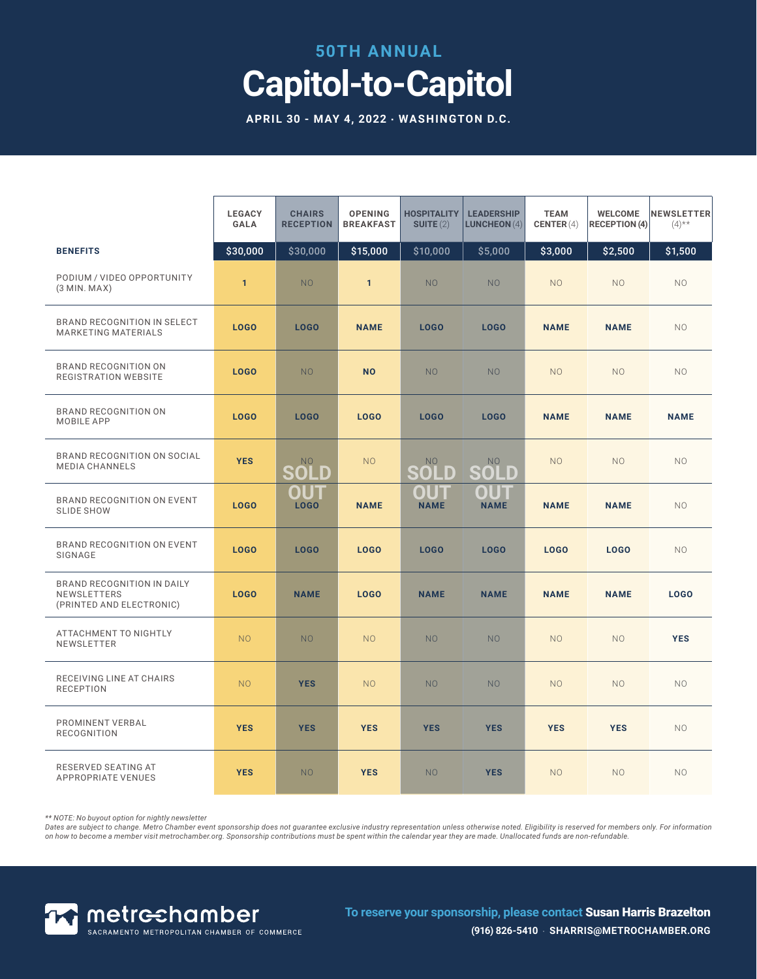#### **50TH ANNUAL**

# **Capitol-to-Capitol**

**APRIL 30 - MAY 4, 2022 · WASHINGTON D.C.**

|                                                                              | <b>LEGACY</b><br><b>GALA</b> | <b>CHAIRS</b><br><b>RECEPTION</b> | <b>OPENING</b><br><b>BREAKFAST</b> | <b>HOSPITALITY</b><br>SUITE(2) | <b>LEADERSHIP</b><br><b>LUNCHEON</b> $(4)$ | <b>TEAM</b><br>CENTER $(4)$ | <b>WELCOME</b><br><b>RECEPTION (4)</b> | <b>NEWSLETTER</b><br>$(4)$ ** |
|------------------------------------------------------------------------------|------------------------------|-----------------------------------|------------------------------------|--------------------------------|--------------------------------------------|-----------------------------|----------------------------------------|-------------------------------|
| <b>BENEFITS</b>                                                              | \$30,000                     | \$30,000                          | \$15,000                           | \$10,000                       | \$5,000                                    | \$3,000                     | \$2,500                                | \$1,500                       |
| PODIUM / VIDEO OPPORTUNITY<br>$(3$ MIN. MAX $)$                              | $\mathbf{1}$                 | N <sub>O</sub>                    | $\mathbf{1}$                       | <b>NO</b>                      | N <sub>O</sub>                             | <b>NO</b>                   | N <sub>O</sub>                         | NO.                           |
| BRAND RECOGNITION IN SELECT<br><b>MARKETING MATERIALS</b>                    | LOGO                         | LOGO                              | <b>NAME</b>                        | LOGO                           | LOGO                                       | <b>NAME</b>                 | <b>NAME</b>                            | NO.                           |
| <b>BRAND RECOGNITION ON</b><br><b>REGISTRATION WEBSITE</b>                   | <b>LOGO</b>                  | NO <sub>1</sub>                   | <b>NO</b>                          | N <sub>O</sub>                 | N <sub>O</sub>                             | <b>NO</b>                   | N <sub>O</sub>                         | <b>NO</b>                     |
| BRAND RECOGNITION ON<br>MOBILE APP                                           | LOGO                         | LOGO                              | LOGO                               | LOGO                           | LOGO                                       | <b>NAME</b>                 | <b>NAME</b>                            | <b>NAME</b>                   |
| BRAND RECOGNITION ON SOCIAL<br><b>MEDIA CHANNELS</b>                         | <b>YES</b>                   | NO<br>SOLD                        | <b>NO</b>                          | <b>NO</b><br>SOLD              | <b>NO</b><br>SOLD                          | <b>NO</b>                   | N <sub>O</sub>                         | N <sub>O</sub>                |
| BRAND RECOGNITION ON EVENT<br><b>SLIDE SHOW</b>                              | <b>LOGO</b>                  | OUT<br><b>LOGO</b>                | <b>NAME</b>                        | OUT<br><b>NAME</b>             | OUT<br><b>NAME</b>                         | <b>NAME</b>                 | <b>NAME</b>                            | NO.                           |
| BRAND RECOGNITION ON EVENT<br>SIGNAGE                                        | LOGO                         | LOGO                              | LOGO                               | LOGO                           | LOGO                                       | LOGO                        | LOGO                                   | N <sub>O</sub>                |
| <b>BRAND RECOGNITION IN DAILY</b><br>NEWSLETTERS<br>(PRINTED AND ELECTRONIC) | LOG <sub>0</sub>             | <b>NAME</b>                       | <b>LOGO</b>                        | <b>NAME</b>                    | <b>NAME</b>                                | <b>NAME</b>                 | <b>NAME</b>                            | <b>LOGO</b>                   |
| ATTACHMENT TO NIGHTLY<br>NEWSLETTER                                          | N <sub>O</sub>               | NO <sub>1</sub>                   | N <sub>O</sub>                     | <b>NO</b>                      | N <sub>O</sub>                             | N <sub>O</sub>              | N <sub>O</sub>                         | <b>YES</b>                    |
| RECEIVING LINE AT CHAIRS<br><b>RECEPTION</b>                                 | N <sub>O</sub>               | <b>YES</b>                        | <b>NO</b>                          | <b>NO</b>                      | N <sub>O</sub>                             | <b>NO</b>                   | N <sub>O</sub>                         | NO.                           |
| PROMINENT VERBAL<br><b>RECOGNITION</b>                                       | <b>YES</b>                   | <b>YES</b>                        | <b>YES</b>                         | <b>YES</b>                     | <b>YES</b>                                 | <b>YES</b>                  | <b>YES</b>                             | <b>NO</b>                     |
| RESERVED SEATING AT<br><b>APPROPRIATE VENUES</b>                             | <b>YES</b>                   | NO <sub>1</sub>                   | <b>YES</b>                         | N <sub>O</sub>                 | <b>YES</b>                                 | N <sub>O</sub>              | N <sub>O</sub>                         | N <sub>O</sub>                |

*\*\* NOTE: No buyout option for nightly newsletter* 

Dates are subject to change. Metro Chamber event sponsorship does not guarantee exclusive industry representation unless otherwise noted. Eligibility is reserved for members only. For information<br>on how to become a member



**To reserve your sponsorship, please contact** Susan Harris Brazelton **(916) 826-5410** · **SHARRIS@METROCHAMBER.ORG**